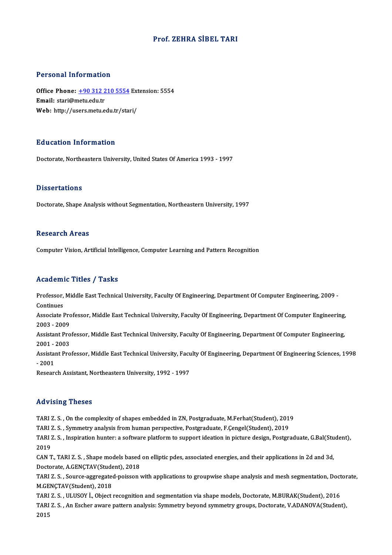## Prof. ZEHRA SİBEL TARI

### Personal Information

Personal Information<br>Office Phone: <u>+90 312 210 5554</u> Extension: 5554<br>Email: stari@metu.edu.tr Email: stari@metu.edu.tr<br>Web: http://users.metu.edu.tr/stari/ Office Phone: <u>+90 312 210 5554</u> Ext<br>Email: stari@metu.edu.tr<br>Web: http://us[ers.metu.edu.tr/sta](tel:+90 312 210 5554)ri/

## Education Information

Doctorate, Northeastern University, United States Of America 1993 - 1997

### **Dissertations**

Doctorate, Shape Analysis without Segmentation, Northeastern University, 1997

## **Research Areas**

Computer Vision, Artificial Intelligence, Computer Learning and Pattern Recognition

## Academic Titles / Tasks

Academic Titles / Tasks<br>Professor, Middle East Technical University, Faculty Of Engineering, Department Of Computer Engineering, 2009 -<br>Continues Professor,<br>Continues<br>Associate I Professor, Middle East Technical University, Faculty Of Engineering, Department Of Computer Engineering, 2009 -<br>Continues<br>Associate Professor, Middle East Technical University, Faculty Of Engineering, Department Of Compute

Continues<br>Associate Pro<br>2003 - 2009<br>Assistant Pro Associate Professor, Middle East Technical University, Faculty Of Engineering, Department Of Computer Engineering,<br>2003 - 2009<br>Assistant Professor, Middle East Technical University, Faculty Of Engineering, Department Of Co

2003 - 2009<br>Assistant Pro<br>2001 - 2003<br>Assistant Pro Assistant Professor, Middle East Technical University, Faculty Of Engineering, Department Of Computer Engineering,<br>2001 - 2003<br>Assistant Professor, Middle East Technical University, Faculty Of Engineering, Department Of En

2001 - 1<br>Assistai<br>- 2001<br>Beseer Assistant Professor, Middle East Technical University, Facu<br>- 2001<br>Research Assistant, Northeastern University, 1992 - 1997

Research Assistant, Northeastern University, 1992 - 1997<br>Advising Theses

TARI Z. S., On the complexity of shapes embedded in ZN, Postgraduate, M.Ferhat(Student), 2019 TARI Z. S. , On the complexity of shapes embedded in ZN, Postgraduate, M.Ferhat(Student), 201<br>TARI Z. S. , Symmetry analysis from human perspective, Postgraduate, F.Çengel(Student), 2019<br>TARI Z. S. , Symmetry analysis from

TARI Z. S. , On the complexity of shapes embedded in ZN, Postgraduate, M.Ferhat(Student), 2019<br>TARI Z. S. , Symmetry analysis from human perspective, Postgraduate, F.Çengel(Student), 2019<br>TARI Z. S. , Inspiration hunter: a TARI<br>TARI 2<br>2019<br>CAN T TARI Z. S. , Inspiration hunter: a software platform to support ideation in picture design, Postgraduate, G.Bal(Stu<br>2019<br>CAN T., TARI Z. S. , Shape models based on elliptic pdes, associated energies, and their applications

2019<br>CAN T., TARI Z. S. , Shape models based on elliptic pdes, associated energies, and their applications in 2d and 3d, CAN T., TARI Z. S. , Shape models based on elliptic pdes, associated energies, and their applications in 2d and 3d,<br>Doctorate, A.GENÇTAV(Student), 2018<br>TARI Z. S. , Source-aggregated-poisson with applications to groupwise

Doctorate, A.GENÇTAV(Student), 2018<br>TARI Z. S. , Source-aggregated-poisson with applications to groupwise shape analysis and mesh segmentation, Doc<br>M.GENÇTAV(Student), 2018<br>TARI Z. S. , ULUSOY İ., Object recognition and se TARI Z. S. , Source-aggregated-poisson with applications to groupwise shape analysis and mesh segmentation, Doct<br>M.GENÇTAV(Student), 2018<br>TARI Z. S. , ULUSOY I., Object recognition and segmentation via shape models, Doctor

TARI Z. S., An Escher aware pattern analysis: Symmetry beyond symmetry groups, Doctorate, V.ADANOVA(Student), 2015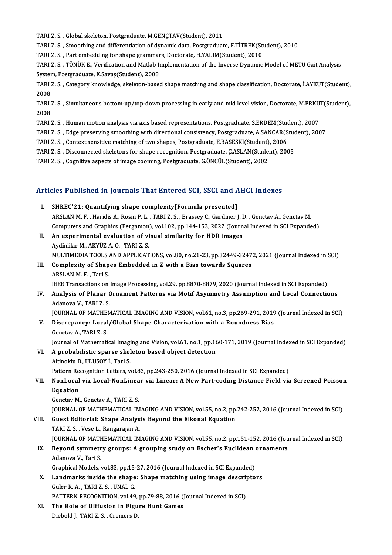TARI Z. S., Global skeleton, Postgraduate, M.GENÇTAV(Student), 2011

TARI Z. S., Smoothing and differentiation of dynamic data, Postgraduate, F.TİTREK(Student), 2010

TARI Z. S. , Global skeleton, Postgraduate, M.GENÇTAV(Student), 2011<br>TARI Z. S. , Smoothing and differentiation of dynamic data, Postgraduate, F.TİTREK(Stı<br>TARI Z. S. , Part embedding for shape grammars, Doctorate, H.YALIM

TARI Z. S., TÖNÜK E., Verification and Matlab Implementation of the Inverse Dynamic Model of METU Gait Analysis TARI Z. S. , Part embedding for shape grammar<br>TARI Z. S. , TÖNÜK E., Verification and Matlab II<br>System, Postgraduate, K.Savaş(Student), 2008<br>TARI Z. S., Gategory knowledge, skeleten base TARI Z. S. , TÖNÜK E., Verification and Matlab Implementation of the Inverse Dynamic Model of METU Gait Analysis<br>System, Postgraduate, K.Savaş(Student), 2008<br>TARI Z. S. , Category knowledge, skeleton-based shape matching a

System, Postgraduate, K.Savaş (Student), 2008<br>TARI Z. S. , Category knowledge, skeleton-base<br>2008 TARI Z. S. , Category knowledge, skeleton-based shape matching and shape classification, Doctorate, İ.AYKUT(Student),<br>2008<br>TARI Z. S. , Simultaneous bottom-up/top-down processing in early and mid level vision, Doctorate, M

TARI Z. S., Simultaneous bottom-up/top-down processing in early and mid level vision, Doctorate, M.ERKUT(Student),<br>2008 TARI Z. S. , Simultaneous bottom-up/top-down processing in early and mid level vision, Doctorate, M.ERKU<br>2008<br>TARI Z. S. , Human motion analysis via axis based representations, Postgraduate, S.ERDEM(Student), 2007<br>TARI Z. 2008<br>TARI Z. S. , Human motion analysis via axis based representations, Postgraduate, S.ERDEM(Student), 2007<br>TARI Z. S. , Edge preserving smoothing with directional consistency, Postgraduate, A.SANCAR(Student), 2007<br>TARI Z

TARI Z. S. , Human motion analysis via axis based representations, Postgraduate, S.ERDEM(Student)<br>TARI Z. S. , Edge preserving smoothing with directional consistency, Postgraduate, A.SANCAR(S<br>TARI Z. S. , Context sensitive

TARI Z. S. , Edge preserving smoothing with directional consistency, Postgraduate, A.SANCAR(Student), 2006<br>TARI Z. S. , Context sensitive matching of two shapes, Postgraduate, E.BAŞESKİ(Student), 2006<br>TARI Z. S. , Disconne TARI Z. S. , Context sensitive matching of two shapes, Postgraduate, E.BAŞESKİ(Student), 2006<br>TARI Z. S. , Disconnected skeletons for shape recognition, Postgraduate, Ç.ASLAN(Student), 2005<br>TARI Z. S. , Cognitive aspects o

# 1ART 2. S. , Cogniuve aspects of image zooming, Postgraduate, G.ONCOL(Student), 2002<br>Articles Published in Journals That Entered SCI, SSCI and AHCI Indexes

- rticles Published in Journals That Entered SCI, SSCI and A.<br>I. SHREC'21: Quantifying shape complexity[Formula presented] I. SHREC'21: Quantifying shape complexity[Formula presented]<br>ARSLAN M. F., Haridis A., Rosin P. L., TARI Z. S., Brassey C., Gardiner J. D., Genctav A., Genctav M. Computers and Graphics (Pergamon), vol.102, pp.144-153, 2022 (Journal Indexed in SCI Expanded) II. An experimental evaluation of visual similarity for HDR images Aydinlilar M., AKYÜZ A.O., TARI Z.S. MULTIMEDIATOOLSANDAPPLICATIONS,vol.80,no.21-23,pp.32449-32472,2021 (Journal Indexed inSCI) Aydinlilar M., AKYÜZ A. O. , TARI Z. S.<br>MULTIMEDIA TOOLS AND APPLICATIONS, vol.80, no.21-23, pp.32449-3247<br>III. Complexity of Shapes Embedded in Z with a Bias towards Squares<br>ABSLAN M. E. Tori S. MULTIMEDIA TOOLS<br>**Complexity of Shap**<br>ARSLAN M. F. , Tari S.<br><sup>IEEE</sup> Transactions on Complexity of Shapes Embedded in Z with a Bias towards Squares<br>ARSLAN M. F. , Tari S.<br>IEEE Transactions on Image Processing, vol.29, pp.8870-8879, 2020 (Journal Indexed in SCI Expanded)<br>Analysis of Planar Ornament Batterns ARSLAN M. F. , Tari S.<br>IEEE Transactions on Image Processing, vol.29, pp.8870-8879, 2020 (Journal Indexed in SCI Expanded)<br>IV. Analysis of Planar Ornament Patterns via Motif Asymmetry Assumption and Local Connections<br>A **IEEE Transactions on<br>Analysis of Planar (**<br>Adanova V., TARI Z. S.<br>JOUPNAL OF MATUEN Analysis of Planar Ornament Patterns via Motif Asymmetry Assumption and Local Connections<br>Adanova V., TARI Z. S.<br>JOURNAL OF MATHEMATICAL IMAGING AND VISION, vol.61, no.3, pp.269-291, 2019 (Journal Indexed in SCI)<br>Disaronon Adanova V., TARI Z. S.<br>JOURNAL OF MATHEMATICAL IMAGING AND VISION, vol.61, no.3, pp.269-291, 2019<br>V. Discrepancy: Local/Global Shape Characterization with a Roundness Bias<br>Constay A. TABLZ S. JOURNAL OF MATHE<br>Discrepancy: Local<br>Genctav A., TARI Z. S.<br>Journal of Mathomati Discrepancy: Local/Global Shape Characterization with a Roundness Bias<br>Genctav A., TARI Z. S.<br>Journal of Mathematical Imaging and Vision, vol.61, no.1, pp.160-171, 2019 (Journal Indexed in SCI Expanded)<br>A probabilistic apo Genctav A., TARI Z. S.<br>Journal of Mathematical Imaging and Vision, vol.61, no.1, pp.16<br>VI. A probabilistic sparse skeleton based object detection Journal of Mathematical Imagi<br>A probabilistic sparse skel<br>Altinoklu B., ULUSOY İ., Tari S.<br>Pettern Pessenition Letters v
- A probabilistic sparse skeleton based object detection<br>Altinoklu B., ULUSOY İ., Tari S.<br>Pattern Recognition Letters, vol.83, pp.243-250, 2016 (Journal Indexed in SCI Expanded)<br>Napl osal via Losal Nopl inear via Lineary A N Altinoklu B., ULUSOY İ., Tari S.<br>Pattern Recognition Letters, vol.83, pp.243-250, 2016 (Journal Indexed in SCI Expanded)<br>VII. NonLocal via Local-NonLinear via Linear: A New Part-coding Distance Field via Screened Poiss
- Pattern Re<br>NonLocal<br>Equation<br>Constav M NonLocal via Local-NonLinea<br>Equation<br>Genctav M., Genctav A., TARI Z. S.<br>JOUPNAL OF MATHEMATICAL IV Equation<br>Genctav M., Genctav A., TARI Z. S.<br>JOURNAL OF MATHEMATICAL IMAGING AND VISION, vol.55, no.2, pp.242-252, 2016 (Journal Indexed in SCI)

Genctav M., Genctav A., TARI Z. S.<br>JOURNAL OF MATHEMATICAL IMAGING AND VISION, vol.55, no.2, pp.<br>VIII. Guest Editorial: Shape Analysis Beyond the Eikonal Equation<br>TABLZ S. Vess L. Bengarajan A. **JOURNAL OF MATHEMATICAL IM<br>Guest Editorial: Shape Analys<br>TARI Z. S. , Vese L., Rangarajan A.<br>JOURNAL OF MATHEMATICAL IM** TARI Z. S. , Vese L., Rangarajan A.<br>JOURNAL OF MATHEMATICAL IMAGING AND VISION, vol.55, no.2, pp.151-152, 2016 (Journal Indexed in SCI) TARI Z. S. , Vese L., Rangarajan A.<br>JOURNAL OF MATHEMATICAL IMAGING AND VISION, vol.55, no.2, pp.151-152, 2016 (Jou<br>IX. Beyond symmetry groups: A grouping study on Escher's Euclidean ornaments

## **JOURNAL OF MATH**<br>Beyond symmetr<br>Adanova V., Tari S.<br>Craphical Models Beyond symmetry groups: A grouping study on Escher's Euclidean<br>Adanova V., Tari S.<br>Graphical Models, vol.83, pp.15-27, 2016 (Journal Indexed in SCI Expanded)<br>Landmarks inside the shape: Shape matshing using image descripte

Adanova V., Tari S.<br>Graphical Models, vol.83, pp.15-27, 2016 (Journal Indexed in SCI Expanded)<br>X. Landmarks inside the shape: Shape matching using image descriptors<br>Culor B. A. TABLZ S. ÜNAL C Graphical Models, vol.83, pp.15<br>Landmarks inside the shape<br>Guler R. A. , TARI Z. S. , ÜNAL G.<br>RATTEPN PECOCNITION .vol.49 Landmarks inside the shape: Shape matching using image descrip<br>Guler R. A. , TARI Z. S. , ÜNAL G.<br>PATTERN RECOGNITION, vol.49, pp.79-88, 2016 (Journal Indexed in SCI)<br>The Bole of Diffusion in Figure Hunt Comes. Guler R. A., TARI Z. S., ÜNAL G.<br>PATTERN RECOGNITION, vol.49, pp.79-88, 2016 (J<br>XI. The Role of Diffusion in Figure Hunt Games

PATTERN RECOGNITION, vol.49,<br><mark>The Role of Diffusion in Figu</mark><br>Diebold J., TARI Z. S. , Cremers D.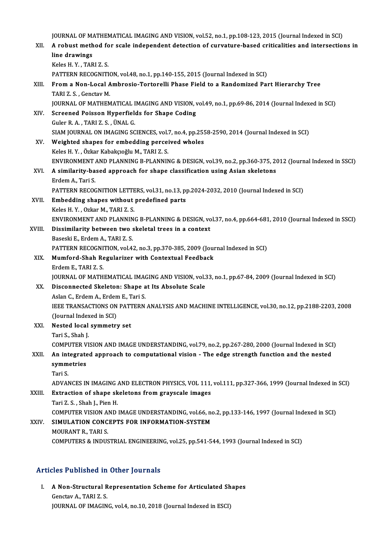JOURNAL OF MATHEMATICAL IMAGING AND VISION, vol.52, no.1, pp.108-123, 2015 (Journal Indexed in SCI)<br>A rebust method for seals independent detection of surveyiure based eniticalities and intersection

|        | JOURNAL OF MATHEMATICAL IMAGING AND VISION, vol.52, no.1, pp.108-123, 2015 (Journal Indexed in SCI)      |
|--------|----------------------------------------------------------------------------------------------------------|
| XII.   | A robust method for scale independent detection of curvature-based criticalities and intersections in    |
|        | line drawings                                                                                            |
|        | Keles H.Y., TARI Z.S.                                                                                    |
|        | PATTERN RECOGNITION, vol.48, no.1, pp.140-155, 2015 (Journal Indexed in SCI)                             |
| XIII.  | From a Non-Local Ambrosio-Tortorelli Phase Field to a Randomized Part Hierarchy Tree                     |
|        | TARI Z. S., Genctav M.                                                                                   |
|        | JOURNAL OF MATHEMATICAL IMAGING AND VISION, vol.49, no.1, pp.69-86, 2014 (Journal Indexed in SCI)        |
| XIV.   | Screened Poisson Hyperfields for Shape Coding                                                            |
|        | Guler R. A., TARI Z. S., ÜNAL G.                                                                         |
|        | SIAM JOURNAL ON IMAGING SCIENCES, vol.7, no.4, pp.2558-2590, 2014 (Journal Indexed in SCI)               |
| XV.    | Weighted shapes for embedding perceived wholes                                                           |
|        | Keles H.Y., Özkar Kabakçıoğlu M., TARI Z.S.                                                              |
|        | ENVIRONMENT AND PLANNING B-PLANNING & DESIGN, vol.39, no.2, pp.360-375, 2012 (Journal Indexed in SSCI)   |
| XVI.   | A similarity-based approach for shape classification using Asian skeletons                               |
|        | Erdem A., Tari S.                                                                                        |
|        | PATTERN RECOGNITION LETTERS, vol.31, no.13, pp.2024-2032, 2010 (Journal Indexed in SCI)                  |
| XVII.  | Embedding shapes without predefined parts                                                                |
|        | Keles H.Y., Ozkar M., TARI Z.S.                                                                          |
|        | ENVIRONMENT AND PLANNING B-PLANNING & DESIGN, vol.37, no.4, pp.664-681, 2010 (Journal Indexed in SSCI)   |
| XVIII. | Dissimilarity between two skeletal trees in a context                                                    |
|        | Baseski E., Erdem A., TARI Z. S.                                                                         |
|        | PATTERN RECOGNITION, vol.42, no.3, pp.370-385, 2009 (Journal Indexed in SCI)                             |
| XIX.   | Mumford-Shah Regularizer with Contextual Feedback                                                        |
|        | Erdem E., TARI Z. S.                                                                                     |
|        | JOURNAL OF MATHEMATICAL IMAGING AND VISION, vol.33, no.1, pp.67-84, 2009 (Journal Indexed in SCI)        |
| XX.    | Disconnected Skeleton: Shape at Its Absolute Scale                                                       |
|        | Aslan C., Erdem A., Erdem E., Tari S.                                                                    |
|        | IEEE TRANSACTIONS ON PATTERN ANALYSIS AND MACHINE INTELLIGENCE, vol.30, no.12, pp.2188-2203, 2008        |
|        | (Journal Indexed in SCI)                                                                                 |
| XXI.   | Nested local symmetry set                                                                                |
|        | Tari S, Shah J                                                                                           |
|        | COMPUTER VISION AND IMAGE UNDERSTANDING, vol.79, no.2, pp.267-280, 2000 (Journal Indexed in SCI)         |
| XXII.  | An integrated approach to computational vision - The edge strength function and the nested<br>symmetries |
|        | Tari S.                                                                                                  |
|        | ADVANCES IN IMAGING AND ELECTRON PHYSICS, VOL 111, vol.111, pp.327-366, 1999 (Journal Indexed in SCI)    |
| XXIII. | Extraction of shape skeletons from grayscale images                                                      |
|        | Tari Z. S., Shah J., Pien H.                                                                             |
|        | COMPUTER VISION AND IMAGE UNDERSTANDING, vol.66, no.2, pp.133-146, 1997 (Journal Indexed in SCI)         |
| XXIV   | SIMULATION CONCEPTS FOR INFORMATION-SYSTEM                                                               |
|        | MOURANT R., TARI S.                                                                                      |
|        | COMPUTERS & INDUSTRIAL ENGINEERING, vol.25, pp.541-544, 1993 (Journal Indexed in SCI)                    |
|        |                                                                                                          |

## Articles Published in Other Journals

rticles Published in Other Journals<br>I. A Non-Structural Representation Scheme for Articulated Shapes A Non-Structural R<br>Genctav A., TARI Z. S.<br>JOUPMAL OF MACIN A Non-Structural Representation Scheme for Articulated Sh<br>Genctav A., TARI Z. S.<br>JOURNAL OF IMAGING, vol.4, no.10, 2018 (Journal Indexed in ESCI)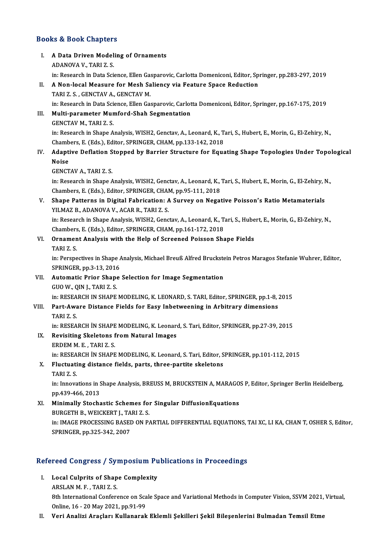# Books&Book Chapters

| <b>Books &amp; Book Chapters</b> |                                                                                                                                                                                                                   |  |
|----------------------------------|-------------------------------------------------------------------------------------------------------------------------------------------------------------------------------------------------------------------|--|
| L.                               | A Data Driven Modeling of Ornaments<br>ADANOVA V, TARI Z S                                                                                                                                                        |  |
| П.                               | in: Research in Data Science, Ellen Gasparovic, Carlotta Domeniconi, Editor, Springer, pp.283-297, 2019<br>A Non-local Measure for Mesh Saliency via Feature Space Reduction<br>TARI Z S , GENCTAV A , GENCTAV M. |  |
| III.                             | in: Research in Data Science, Ellen Gasparovic, Carlotta Domeniconi, Editor, Springer, pp.167-175, 2019<br>Multi-parameter Mumford-Shah Segmentation                                                              |  |
|                                  | <b>GENCTAV M., TARI Z. S.</b>                                                                                                                                                                                     |  |
|                                  | in: Research in Shape Analysis, WISH2, Genctav, A., Leonard, K., Tari, S., Hubert, E., Morin, G., El-Zehiry, N.,<br>Chambers, E. (Eds.), Editor, SPRINGER, CHAM, pp.133-142, 2018                                 |  |
| IV.                              | Adaptive Deflation Stopped by Barrier Structure for Equating Shape Topologies Under Topological<br><b>Noise</b>                                                                                                   |  |
|                                  | <b>GENCTAV A., TARI Z. S.</b><br>in: Research in Shape Analysis, WISH2, Genctav, A., Leonard, K., Tari, S., Hubert, E., Morin, G., El-Zehiry, N.,                                                                 |  |
| V.                               | Chambers, E. (Eds.), Editor, SPRINGER, CHAM, pp.95-111, 2018<br>Shape Patterns in Digital Fabrication: A Survey on Negative Poisson's Ratio Metamaterials<br>YILMAZ B., ADANOVA V., ACAR R., TARI Z. S.           |  |
|                                  | in: Research in Shape Analysis, WISH2, Genctav, A., Leonard, K., Tari, S., Hubert, E., Morin, G., El-Zehiry, N.,<br>Chambers, E. (Eds.), Editor, SPRINGER, CHAM, pp.161-172, 2018                                 |  |
| VI.                              | Ornament Analysis with the Help of Screened Poisson Shape Fields<br>TARIZ <sub>S</sub>                                                                                                                            |  |
|                                  | in: Perspectives in Shape Analysis, Michael Breuß Alfred Bruckstein Petros Maragos Stefanie Wuhrer, Editor,<br>SPRINGER, pp 3-13, 2016                                                                            |  |
| VII.                             | Automatic Prior Shape Selection for Image Segmentation<br>GUO W., QIN J., TARI Z. S.                                                                                                                              |  |
|                                  | in: RESEARCH IN SHAPE MODELING, K. LEONARD, S. TARI, Editor, SPRINGER, pp.1-8, 2015                                                                                                                               |  |
| VIII.                            | Part-Aware Distance Fields for Easy Inbetweening in Arbitrary dimensions<br>TARI Z.S.                                                                                                                             |  |
| IX.                              | in: RESEARCH İN SHAPE MODELING, K. Leonard, S. Tari, Editor, SPRINGER, pp.27-39, 2015<br>Revisiting Skeletons from Natural Images                                                                                 |  |
|                                  | ERDEM M E, TARIZ S<br>in: RESEARCH İN SHAPE MODELING, K. Leonard, S. Tari, Editor, SPRINGER, pp.101-112, 2015                                                                                                     |  |
| X.                               | Fluctuating distance fields, parts, three-partite skeletons                                                                                                                                                       |  |
|                                  | TARIZ <sub>S</sub><br>in: Innovations in Shape Analysis, BREUSS M, BRUCKSTEIN A, MARAGOS P, Editor, Springer Berlin Heidelberg,<br>pp 439-466, 2013                                                               |  |
| XI.                              | Minimally Stochastic Schemes for Singular DiffusionEquations<br>BURGETH B., WEICKERT J., TARI Z. S.                                                                                                               |  |
|                                  | in: IMAGE PROCESSING BASED ON PARTIAL DIFFERENTIAL EQUATIONS, TAI XC, LI KA, CHAN T, OSHER S, Editor,<br>SPRINGER, pp.325-342, 2007                                                                               |  |
|                                  |                                                                                                                                                                                                                   |  |

# SPRINGER, pp.325-342, 2007<br>Refereed Congress / Symposium Publications in Proceedings

- efereed Congress / Symposium Pu<br>I. Local Culprits of Shape Complexity I. Local Culprits of Shape Complexity<br>ARSLAN M. F., TARI Z. S. Local Culprits of Shape Complexity<br>ARSLAN M. F. , TARI Z. S.<br>8th International Conference on Scale Space and Variational Methods in Computer Vision, SSVM 2021, Virtual,<br>Opline, 16 , 20 May 2021, pp.91, 99. ARSLAN M. F. , TARI Z. S.<br>8th International Conference on Sca<br>Online, 16 - 20 May 2021, pp.91-99<br>Veri Analizi Arasları Kullanarak Online, 16 - 20 May 2021, pp.91-99<br>II. Veri Analizi Araçları Kullanarak Eklemli Şekilleri Şekil Bileşenlerini Bulmadan Temsil Etme
-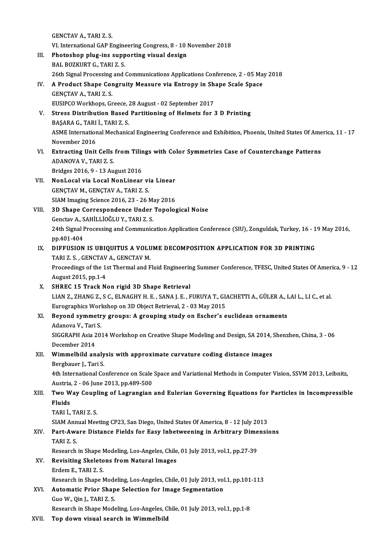GENCTAV A., TARI Z. S. VI. International GAP Engineering Congress, 8 - 10 November 2018 III. Photoshop plug-ins supporting visual design BAL BOZKURT G., TARI Z. S. 26th Signal Processing and Communications Applications Conference, 2 - 05 May 2018 BAL BOZKURT G., TARI Z. S.<br>26th Signal Processing and Communications Applications Conference, 2 - 05 Ma<br>IV. A Product Shape Congruity Measure via Entropy in Shape Scale Space<br>CENCTAV A TARLZ S GENÇTAV A., TARI Z. S.<br>EUSIPCO Workhops, Greece, 28 August - 02 September 2017 A Product Shape Congruity Measure via Entropy in Sh<br>GENÇTAV A., TARI Z. S.<br>EUSIPCO Workhops, Greece, 28 August - 02 September 2017<br>Stress Distribution Based Bartitioning of Helmets for 3 GENÇTAV A., TARI Z. S.<br>EUSIPCO Workhops, Greece, 28 August - 02 September 2017<br>V. Stress Distribution Based Partitioning of Helmets for 3 D Printing<br>PASARA C. TARLI, TARLZ S. EUSIPCO Workhops, Greece, 2<br>Stress Distribution Based<br>BAŞARA G., TARI İ., TARI Z. S.<br>ASME International Machania ASME International Mechanical Engineering Conference and Exhibition, Phoenix, United States Of America, 11 - 17<br>November 2016 BASARA G., TARI İ., TARI Z. S. ASME International Mechanical Engineering Conference and Exhibition, Phoenix, United States Of Ame<br>November 2016<br>VI. Extracting Unit Cells from Tilings with Color Symmetries Case of Counterchange Patterns<br>ADANOVA V. TABLZ November 2016<br>Extracting Unit Cells<br>ADANOVA V., TARI Z. S.<br>Pridges 2016, 0, 13 Av. Extracting Unit Cells from Tilir<br>ADANOVA V., TARI Z. S.<br>Bridges 2016, 9 - 13 August 2016<br>Norl ceal via Local Norl incor ADANOVA V., TARI Z. S.<br>Bridges 2016, 9 - 13 August 2016<br>VII. NonLocal via Local NonLinear via Linear<br>CENCTAV M. CENCTAV A. TARI Z. S. Bridges 2016, 9 - 13 August 2016<br>NonLocal via Local NonLinear via Linear<br>GENÇTAV M., GENÇTAV A., TARI Z. S.<br>SIAM Imaging Science 2016, 23 - 26 May 2016 NonLocal via Local NonLinear via Linear<br>GENÇTAV M., GENÇTAV A., TARI Z. S.<br>SIAM Imaging Science 2016, 23 - 26 May 2016<br>2D Shane Correspondence Under Toneles GENÇTAV M., GENÇTAV A., TARI Z. S.<br>SIAM Imaging Science 2016, 23 - 26 May 2016<br>VIII. 3D Shape Correspondence Under Topological Noise<br>Constau A. SAHILLIOČLUV TARLZ S SIAM Imaging Science 2016, 23 - 26 M;<br>3D Shape Correspondence Under<br>Genctav A., SAHİLLİOĞLU Y., TARI Z. S.<br>24th Signal Processing and Communic 24th Signal Processing and Communication Application Conference (SIU), Zonguldak, Turkey, 16 - 19 May 2016, pp.401-404 Genctav A., SAHİLLİOĞLU Y., TARI Z. S. 24th Signal Processing and Communication Application Conference (SIU), Zonguldak, Turkey, 16 - 1<br>pp.401-404<br>IX. DIFFUSION IS UBIQUITUS A VOLUME DECOMPOSITION APPLICATION FOR 3D PRINTING<br>TABLES CENCTAV A CENCTAV M pp.401-404<br>DIFFUSION IS UBIQUITUS A VOLU<br>TARI Z. S. , GENCTAV A., GENCTAV M.<br>Preseedings of the 1st Thermal and E Proceedings of the 1st Thermal and Fluid Engineering Summer Conference, TFESC, United States Of America, 9 - 12<br>August 2015, pp.1-4 TARI Z. S., GENCTAV A., GENCTAV M. X. SHREC 15 Track Non rigid 3D Shape Retrieval LIAN Z., ZHANG Z., S C., ELNAGHY H. E., SANA J. E., FURUYA T., GIACHETTI A., GÜLER A., LAI L., LI C., et al. SHREC 15 Track Non rigid 3D Shape Retrieval<br>LIAN Z., ZHANG Z., S C., ELNAGHY H. E. , SANA J. E. , FURUYA T., GL<br>Eurographics Workshop on 3D Object Retrieval, 2 - 03 May 2015<br>Boyand summatuy groups: A grouping study on Essh XI. Beyond symmetry groups: A grouping study on Escher's euclidean ornaments Eurographics Worl<br>Beyond symmetr<br>Adanova V., Tari S.<br>SICCRAPH Asia 20. Beyond symmetry groups: A grouping study on Escher's euclidean ornaments<br>Adanova V., Tari S.<br>SIGGRAPH Asia 2014 Workshop on Creative Shape Modeling and Design, SA 2014, Shenzhen, China, 3 - 06<br>Desember 2014 Adanova V., Tari<br>SIGGRAPH Asia 2<br>December 2014<br>Wimmelbild an SIGGRAPH Asia 2014 Workshop on Creative Shape Modeling and Design, SA 2014, S<br>December 2014<br>XII. Wimmelbild analysis with approximate curvature coding distance images<br>Borghauer L. Tori S December 2014<br>XII. Wimmelbild analysis with approximate curvature coding distance images<br>Bergbauer J., Tari S. Wimmelbild analysis with approximate curvature coding distance images<br>Bergbauer J., Tari S.<br>4th International Conference on Scale Space and Variational Methods in Computer Vision, SSVM 2013, Leibnitz,<br>Austria 3, .06 June 2 Bergbauer J., Tari S.<br>4th International Conference on Scale<br>Austria, 2 - 06 June 2013, pp.489-500<br>Two Way Coupling of Lagrangian 4th International Conference on Scale Space and Variational Methods in Computer Vision, SSVM 2013, Leibnitz,<br>Austria, 2 - 06 June 2013, pp.489-500<br>XIII. Two Way Coupling of Lagrangian and Eulerian Governing Equations for P Austria<br><mark>Two W</mark><br>Fluids<br>T<u>ABI</u> İ Two Way Coupl<br>Fluids<br>TARI İ., TARI Z. S.<br>SIAM Annual Mee Fluids<br>TARI İ., TARI Z. S.<br>SIAM Annual Meeting CP23, San Diego, United States Of America, 8 - 12 July 2013<br>Part, Auvare Distance Fields for Fasy Inhetweening in Arhitrery Dimensi TARI İ., TARI Z. S.<br>SIAM Annual Meeting CP23, San Diego, United States Of America, 8 - 12 July 2013<br>XIV. Part-Aware Distance Fields for Easy Inbetweening in Arbitrary Dimensions<br>TARI Z. S. SIAM Ann<br>**Part-Awa<br>TARI Z. S.**<br>Beseereb Part-Aware Distance Fields for Easy Inbetweening in Arbitrary Dime<br>TARI Z. S.<br>Research in Shape Modeling, Los-Angeles, Chile, 01 July 2013, vol.1, pp.27-39<br>Povisiting Skelstons from Natural Images TARI Z. S.<br>Research in Shape Modeling, Los-Angeles, Chile<br>XV. Revisiting Skeletons from Natural Images Research in Shape N<br>Revisiting Skeleto<br>Erdem E., TARI Z. S.<br>Besearsh in Shape N Erdem E., TARI Z. S.<br>Research in Shape Modeling, Los-Angeles, Chile, 01 July 2013, vol.1, pp.101-113 Erdem E., TARI Z. S.<br>Research in Shape Modeling, Los-Angeles, Chile, 01 July 2013, vol<br>XVI. Automatic Prior Shape Selection for Image Segmentation Research in Shape Mode<br>Automatic Prior Shap<br>Guo W., Qin J., TARI Z. S.<br>Besearch in Shape Mode Guo W., Qin J., TARI Z. S.<br>Research in Shape Modeling, Los-Angeles, Chile, 01 July 2013, vol.1, pp.1-8

XVII. Top down visual search in Wimmelbild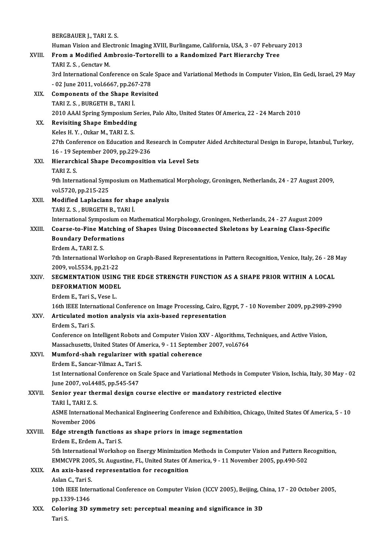|         | BERGBAUER J., TARI Z. S.                                                                                           |
|---------|--------------------------------------------------------------------------------------------------------------------|
|         | Human Vision and Electronic Imaging XVIII, Burlingame, California, USA, 3 - 07 February 2013                       |
| XVIII.  | From a Modified Ambrosio-Tortorelli to a Randomized Part Hierarchy Tree                                            |
|         | TARI Z.S., Genctav M.                                                                                              |
|         | 3rd International Conference on Scale Space and Variational Methods in Computer Vision, Ein Gedi, Israel, 29 May   |
|         | - 02 June 2011, vol.6667, pp.267-278                                                                               |
| XIX.    | <b>Components of the Shape Revisited</b>                                                                           |
|         | TARI Z S , BURGETH B , TARI İ.                                                                                     |
|         | 2010 AAAI Spring Symposium Series, Palo Alto, United States Of America, 22 - 24 March 2010                         |
| XX.     | <b>Revisiting Shape Embedding</b>                                                                                  |
|         | Keles H Y, Ozkar M, TARI Z S.                                                                                      |
|         | 27th Conference on Education and Research in Computer Aided Architectural Design in Europe, İstanbul, Turkey,      |
|         | 16 - 19 September 2009, pp 229-236                                                                                 |
| XXI.    | Hierarchical Shape Decomposition via Level Sets                                                                    |
|         | TARI Z.S.                                                                                                          |
|         | 9th International Symposium on Mathematical Morphology, Groningen, Netherlands, 24 - 27 August 2009,               |
|         | vol.5720, pp.215-225<br>Modified Laplacians for shape analysis                                                     |
| XXII.   | TARI Z. S., BURGETH B., TARI İ.                                                                                    |
|         | International Symposium on Mathematical Morphology, Groningen, Netherlands, 24 - 27 August 2009                    |
| XXIII.  | Coarse-to-Fine Matching of Shapes Using Disconnected Skeletons by Learning Class-Specific                          |
|         | <b>Boundary Deformations</b>                                                                                       |
|         | Erdem A., TARI Z. S.                                                                                               |
|         | 7th International Workshop on Graph-Based Representations in Pattern Recognition, Venice, Italy, 26 - 28 May       |
|         | 2009, vol 5534, pp 21-22                                                                                           |
| XXIV    | SEGMENTATION USING THE EDGE STRENGTH FUNCTION AS A SHAPE PRIOR WITHIN A LOCAL                                      |
|         | DEFORMATION MODEL                                                                                                  |
|         | Erdem E., Tari S., Vese L.                                                                                         |
|         | 16th IEEE International Conference on Image Processing, Cairo, Egypt, 7 - 10 November 2009, pp.2989-2990           |
| XXV     | Articulated motion analysis via axis-based representation                                                          |
|         | Erdem S., Tari S.                                                                                                  |
|         | Conference on Intelligent Robots and Computer Vision XXV - Algorithms, Techniques, and Active Vision,              |
|         | Massachusetts, United States Of America, 9 - 11 September 2007, vol.6764                                           |
| XXVI.   | Mumford-shah regularizer with spatial coherence                                                                    |
|         | Erdem E., Sancar-Yilmaz A., Tari S.                                                                                |
|         | 1st International Conference on Scale Space and Variational Methods in Computer Vision, Ischia, Italy, 30 May - 02 |
|         | June 2007, vol.4485, pp.545-547                                                                                    |
| XXVII.  | Senior year thermal design course elective or mandatory restricted elective                                        |
|         | TARI İ., TARI Z. S.                                                                                                |
|         | ASME International Mechanical Engineering Conference and Exhibition, Chicago, United States Of America, 5 - 10     |
|         | November 2006                                                                                                      |
| XXVIII. | Edge strength functions as shape priors in image segmentation                                                      |
|         | Erdem E., Erdem A., Tari S.                                                                                        |
|         | 5th International Workshop on Energy Minimization Methods in Computer Vision and Pattern Recognition,              |
|         | EMMCVPR 2005, St. Augustine, FL, United States Of America, 9 - 11 November 2005, pp.490-502                        |
| XXIX.   | An axis-based representation for recognition                                                                       |
|         | Aslan C., Tari S.                                                                                                  |
|         | 10th IEEE International Conference on Computer Vision (ICCV 2005), Beijing, China, 17 - 20 October 2005,           |
|         | pp 1339-1346                                                                                                       |
| XXX.    | Coloring 3D symmetry set: perceptual meaning and significance in 3D                                                |
|         | Tari S                                                                                                             |
|         |                                                                                                                    |